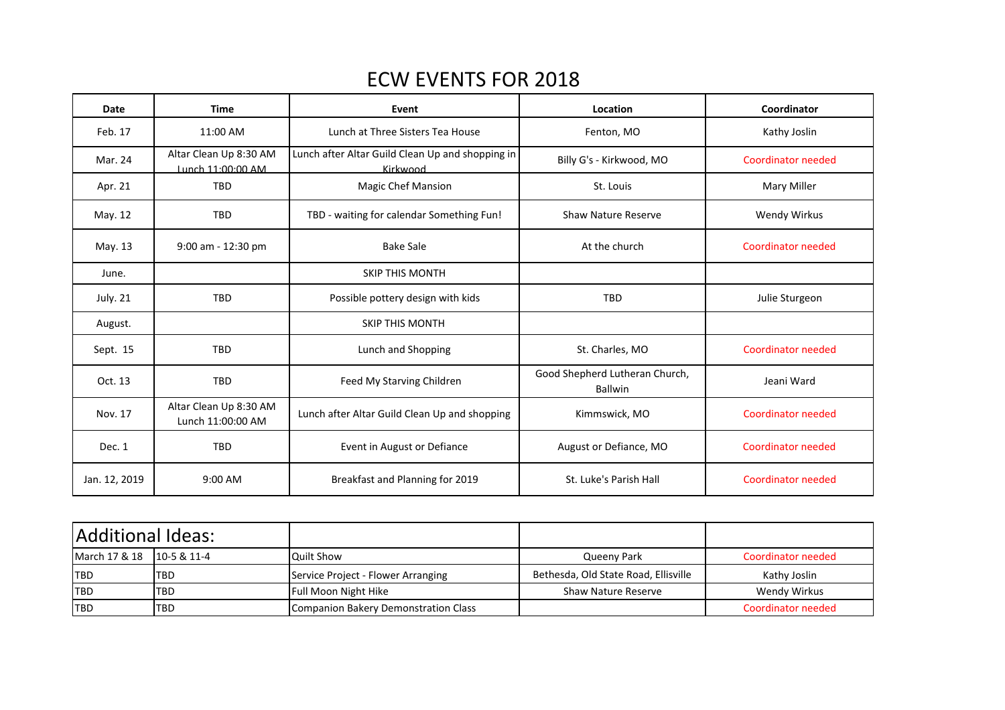## ECW EVENTS FOR 2018

| Date            | <b>Time</b>                                 | Event                                                        | Location                                  | Coordinator               |
|-----------------|---------------------------------------------|--------------------------------------------------------------|-------------------------------------------|---------------------------|
| Feb. 17         | 11:00 AM                                    | Lunch at Three Sisters Tea House                             | Fenton, MO                                | Kathy Joslin              |
| Mar. 24         | Altar Clean Up 8:30 AM<br>Lunch 11:00:00 AM | Lunch after Altar Guild Clean Up and shopping in<br>Kirkwood | Billy G's - Kirkwood, MO                  | Coordinator needed        |
| Apr. 21         | <b>TBD</b>                                  | <b>Magic Chef Mansion</b>                                    | St. Louis                                 | Mary Miller               |
| May. 12         | <b>TBD</b>                                  | TBD - waiting for calendar Something Fun!                    | <b>Shaw Nature Reserve</b>                | Wendy Wirkus              |
| May. 13         | 9:00 am - 12:30 pm                          | <b>Bake Sale</b>                                             | At the church                             | Coordinator needed        |
| June.           |                                             | <b>SKIP THIS MONTH</b>                                       |                                           |                           |
| <b>July. 21</b> | TBD                                         | Possible pottery design with kids                            | <b>TBD</b>                                | Julie Sturgeon            |
| August.         |                                             | <b>SKIP THIS MONTH</b>                                       |                                           |                           |
| Sept. 15        | <b>TBD</b>                                  | Lunch and Shopping                                           | St. Charles, MO                           | Coordinator needed        |
| Oct. 13         | TBD                                         | Feed My Starving Children                                    | Good Shepherd Lutheran Church,<br>Ballwin | Jeani Ward                |
| Nov. 17         | Altar Clean Up 8:30 AM<br>Lunch 11:00:00 AM | Lunch after Altar Guild Clean Up and shopping                | Kimmswick, MO                             | Coordinator needed        |
| Dec. 1          | TBD                                         | Event in August or Defiance                                  | August or Defiance, MO                    | <b>Coordinator needed</b> |
| Jan. 12, 2019   | 9:00 AM                                     | Breakfast and Planning for 2019                              | St. Luke's Parish Hall                    | <b>Coordinator needed</b> |

| Additional Ideas:           |            |                                      |                                      |                    |
|-----------------------------|------------|--------------------------------------|--------------------------------------|--------------------|
| March 17 & 18   10-5 & 11-4 |            | <b>Quilt Show</b>                    | Queeny Park                          | Coordinator needed |
| <b>TBD</b>                  | <b>TBD</b> | Service Project - Flower Arranging   | Bethesda, Old State Road, Ellisville | Kathy Joslin       |
| <b>TBD</b>                  | <b>TBD</b> | Full Moon Night Hike                 | <b>Shaw Nature Reserve</b>           | Wendy Wirkus       |
| <b>ITBD</b>                 | <b>TBD</b> | Companion Bakery Demonstration Class |                                      | Coordinator needed |